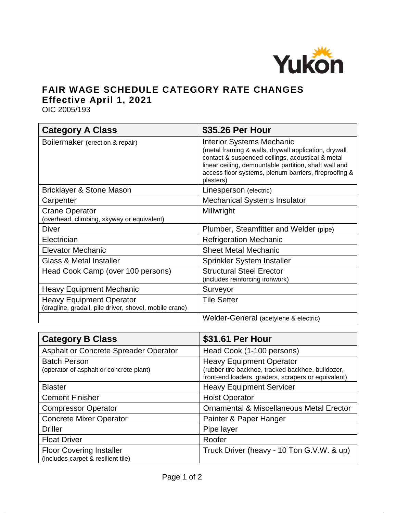

## **FAIR WAGE SCHEDULE CATEGORY RATE CHANGES Effective April 1, 2021**

OIC 2005/193

| <b>Category A Class</b>                                                                   | \$35.26 Per Hour                                                                                                                                                                                                                                                            |
|-------------------------------------------------------------------------------------------|-----------------------------------------------------------------------------------------------------------------------------------------------------------------------------------------------------------------------------------------------------------------------------|
| Boilermaker (erection & repair)                                                           | <b>Interior Systems Mechanic</b><br>(metal framing & walls, drywall application, drywall<br>contact & suspended ceilings, acoustical & metal<br>linear ceiling, demountable partition, shaft wall and<br>access floor systems, plenum barriers, fireproofing &<br>plasters) |
| Bricklayer & Stone Mason                                                                  | Linesperson (electric)                                                                                                                                                                                                                                                      |
| Carpenter                                                                                 | <b>Mechanical Systems Insulator</b>                                                                                                                                                                                                                                         |
| <b>Crane Operator</b><br>(overhead, climbing, skyway or equivalent)                       | Millwright                                                                                                                                                                                                                                                                  |
| <b>Diver</b>                                                                              | Plumber, Steamfitter and Welder (pipe)                                                                                                                                                                                                                                      |
| Electrician                                                                               | <b>Refrigeration Mechanic</b>                                                                                                                                                                                                                                               |
| <b>Elevator Mechanic</b>                                                                  | <b>Sheet Metal Mechanic</b>                                                                                                                                                                                                                                                 |
| <b>Glass &amp; Metal Installer</b>                                                        | Sprinkler System Installer                                                                                                                                                                                                                                                  |
| Head Cook Camp (over 100 persons)                                                         | <b>Structural Steel Erector</b><br>(includes reinforcing ironwork)                                                                                                                                                                                                          |
| <b>Heavy Equipment Mechanic</b>                                                           | Surveyor                                                                                                                                                                                                                                                                    |
| <b>Heavy Equipment Operator</b><br>(dragline, gradall, pile driver, shovel, mobile crane) | <b>Tile Setter</b>                                                                                                                                                                                                                                                          |
|                                                                                           | Welder-General (acetylene & electric)                                                                                                                                                                                                                                       |

| <b>Category B Class</b>                                               | \$31.61 Per Hour                                                                                                                            |
|-----------------------------------------------------------------------|---------------------------------------------------------------------------------------------------------------------------------------------|
| Asphalt or Concrete Spreader Operator                                 | Head Cook (1-100 persons)                                                                                                                   |
| <b>Batch Person</b><br>(operator of asphalt or concrete plant)        | <b>Heavy Equipment Operator</b><br>(rubber tire backhoe, tracked backhoe, bulldozer,<br>front-end loaders, graders, scrapers or equivalent) |
| <b>Blaster</b>                                                        | <b>Heavy Equipment Servicer</b>                                                                                                             |
| <b>Cement Finisher</b>                                                | <b>Hoist Operator</b>                                                                                                                       |
| <b>Compressor Operator</b>                                            | <b>Ornamental &amp; Miscellaneous Metal Erector</b>                                                                                         |
| <b>Concrete Mixer Operator</b>                                        | Painter & Paper Hanger                                                                                                                      |
| <b>Driller</b>                                                        | Pipe layer                                                                                                                                  |
| <b>Float Driver</b>                                                   | Roofer                                                                                                                                      |
| <b>Floor Covering Installer</b><br>(includes carpet & resilient tile) | Truck Driver (heavy - 10 Ton G.V.W. & up)                                                                                                   |